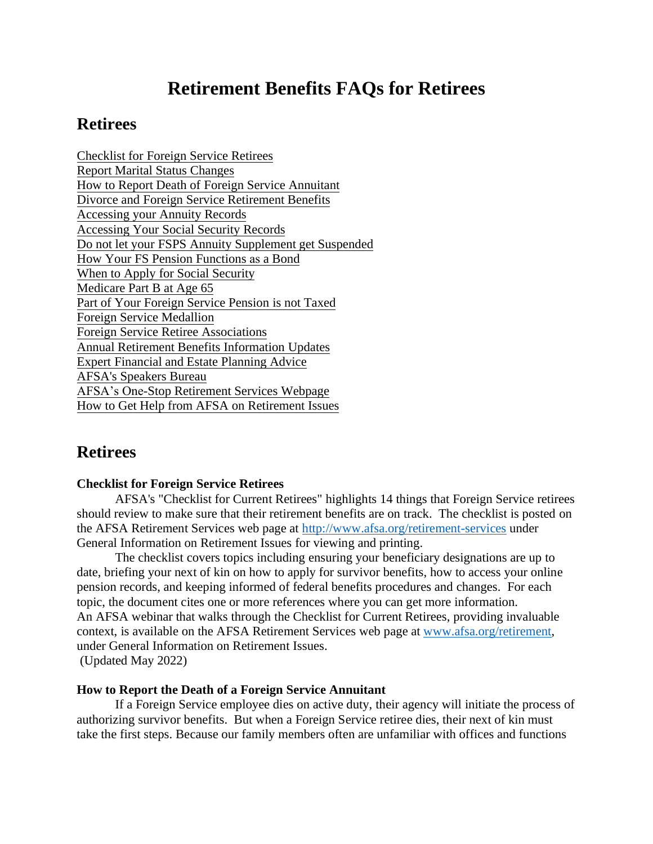# **Retirement Benefits FAQs for Retirees**

# **Retirees**

Checklist for Foreign Service Retirees Report Marital Status Changes How to Report Death of Foreign Service Annuitant Divorce and Foreign Service Retirement Benefits Accessing your Annuity Records Accessing Your Social Security Records Do not let your FSPS Annuity Supplement get Suspended How Your FS Pension Functions as a Bond When to Apply for Social Security Medicare Part B at Age 65 Part of Your Foreign Service Pension is not Taxed Foreign Service Medallion Foreign Service Retiree Associations Annual Retirement Benefits Information Updates Expert Financial and Estate Planning Advice AFSA's Speakers Bureau AFSA's One-Stop Retirement Services Webpage How to Get Help from AFSA on Retirement Issues

# **Retirees**

# **Checklist for Foreign Service Retirees**

AFSA's "Checklist for Current Retirees" highlights 14 things that Foreign Service retirees should review to make sure that their retirement benefits are on track. The checklist is posted on the AFSA Retirement Services web page at<http://www.afsa.org/retirement-services> under General Information on Retirement Issues for viewing and printing.

The checklist covers topics including ensuring your beneficiary designations are up to date, briefing your next of kin on how to apply for survivor benefits, how to access your online pension records, and keeping informed of federal benefits procedures and changes. For each topic, the document cites one or more references where you can get more information. An AFSA webinar that walks through the Checklist for Current Retirees, providing invaluable context, is available on the AFSA Retirement Services web page at [www.afsa.org/retirement,](http://www.afsa.org/retirement) under General Information on Retirement Issues. (Updated May 2022)

# **How to Report the Death of a Foreign Service Annuitant**

If a Foreign Service employee dies on active duty, their agency will initiate the process of authorizing survivor benefits. But when a Foreign Service retiree dies, their next of kin must take the first steps. Because our family members often are unfamiliar with offices and functions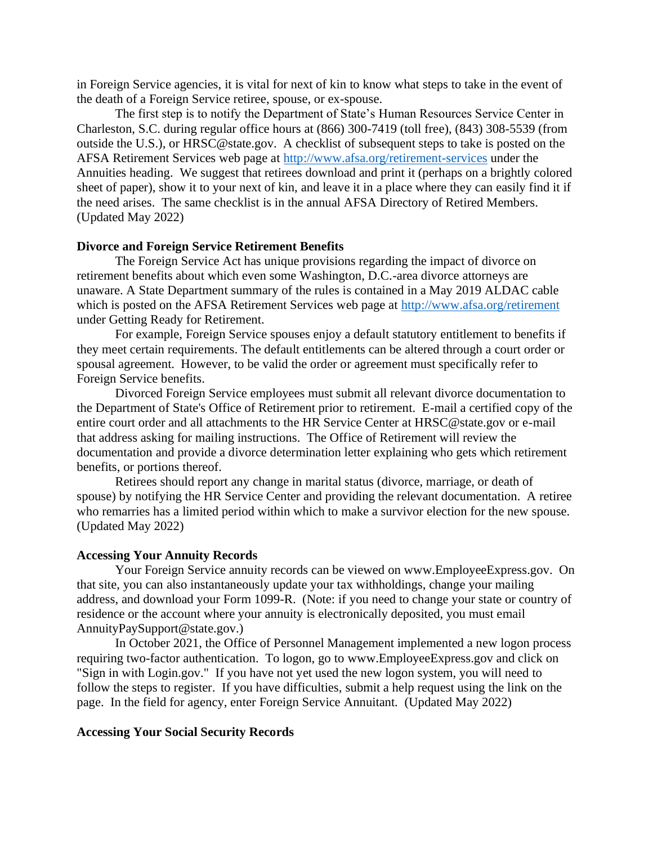in Foreign Service agencies, it is vital for next of kin to know what steps to take in the event of the death of a Foreign Service retiree, spouse, or ex-spouse.

The first step is to notify the Department of State's Human Resources Service Center in Charleston, S.C. during regular office hours at (866) 300-7419 (toll free), (843) 308-5539 (from outside the U.S.), or HRSC@state.gov. A checklist of subsequent steps to take is posted on the AFSA Retirement Services web page at<http://www.afsa.org/retirement-services> under the Annuities heading. We suggest that retirees download and print it (perhaps on a brightly colored sheet of paper), show it to your next of kin, and leave it in a place where they can easily find it if the need arises. The same checklist is in the annual AFSA Directory of Retired Members. (Updated May 2022)

# **Divorce and Foreign Service Retirement Benefits**

The Foreign Service Act has unique provisions regarding the impact of divorce on retirement benefits about which even some Washington, D.C.-area divorce attorneys are unaware. A State Department summary of the rules is contained in a May 2019 ALDAC cable which is posted on the AFSA Retirement Services web page at<http://www.afsa.org/retirement> under Getting Ready for Retirement.

For example, Foreign Service spouses enjoy a default statutory entitlement to benefits if they meet certain requirements. The default entitlements can be altered through a court order or spousal agreement. However, to be valid the order or agreement must specifically refer to Foreign Service benefits.

Divorced Foreign Service employees must submit all relevant divorce documentation to the Department of State's Office of Retirement prior to retirement. E-mail a certified copy of the entire court order and all attachments to the HR Service Center at HRSC@state.gov or e-mail that address asking for mailing instructions. The Office of Retirement will review the documentation and provide a divorce determination letter explaining who gets which retirement benefits, or portions thereof.

Retirees should report any change in marital status (divorce, marriage, or death of spouse) by notifying the HR Service Center and providing the relevant documentation. A retiree who remarries has a limited period within which to make a survivor election for the new spouse. (Updated May 2022)

#### **Accessing Your Annuity Records**

Your Foreign Service annuity records can be viewed on www.EmployeeExpress.gov. On that site, you can also instantaneously update your tax withholdings, change your mailing address, and download your Form 1099-R. (Note: if you need to change your state or country of residence or the account where your annuity is electronically deposited, you must email AnnuityPaySupport@state.gov.)

In October 2021, the Office of Personnel Management implemented a new logon process requiring two-factor authentication. To logon, go to www.EmployeeExpress.gov and click on "Sign in with Login.gov." If you have not yet used the new logon system, you will need to follow the steps to register. If you have difficulties, submit a help request using the link on the page. In the field for agency, enter Foreign Service Annuitant. (Updated May 2022)

#### **Accessing Your Social Security Records**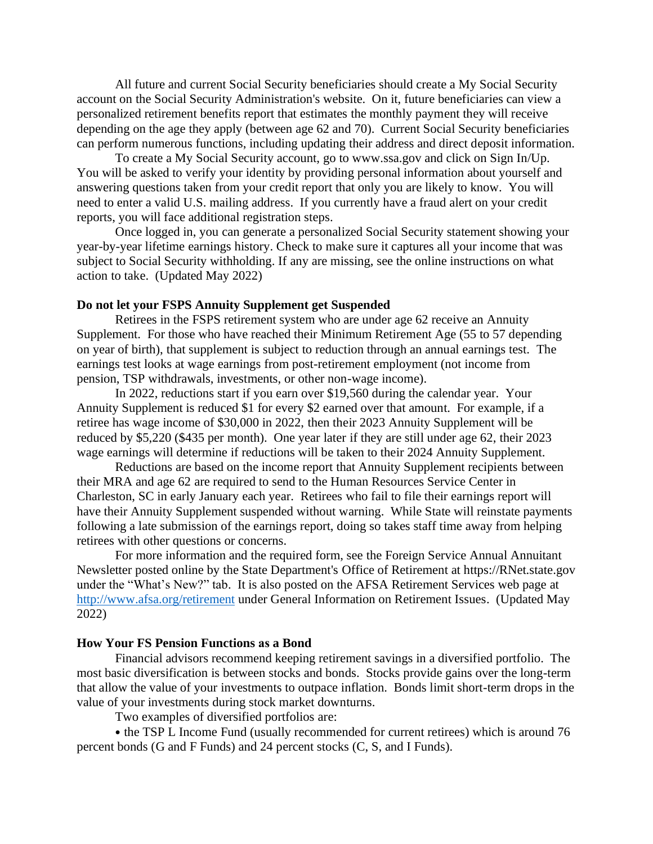All future and current Social Security beneficiaries should create a My Social Security account on the Social Security Administration's website. On it, future beneficiaries can view a personalized retirement benefits report that estimates the monthly payment they will receive depending on the age they apply (between age 62 and 70). Current Social Security beneficiaries can perform numerous functions, including updating their address and direct deposit information.

To create a My Social Security account, go to www.ssa.gov and click on Sign In/Up. You will be asked to verify your identity by providing personal information about yourself and answering questions taken from your credit report that only you are likely to know. You will need to enter a valid U.S. mailing address. If you currently have a fraud alert on your credit reports, you will face additional registration steps.

Once logged in, you can generate a personalized Social Security statement showing your year-by-year lifetime earnings history. Check to make sure it captures all your income that was subject to Social Security withholding. If any are missing, see the online instructions on what action to take. (Updated May 2022)

#### **Do not let your FSPS Annuity Supplement get Suspended**

Retirees in the FSPS retirement system who are under age 62 receive an Annuity Supplement. For those who have reached their Minimum Retirement Age (55 to 57 depending on year of birth), that supplement is subject to reduction through an annual earnings test. The earnings test looks at wage earnings from post-retirement employment (not income from pension, TSP withdrawals, investments, or other non-wage income).

In 2022, reductions start if you earn over \$19,560 during the calendar year. Your Annuity Supplement is reduced \$1 for every \$2 earned over that amount. For example, if a retiree has wage income of \$30,000 in 2022, then their 2023 Annuity Supplement will be reduced by \$5,220 (\$435 per month). One year later if they are still under age 62, their 2023 wage earnings will determine if reductions will be taken to their 2024 Annuity Supplement.

Reductions are based on the income report that Annuity Supplement recipients between their MRA and age 62 are required to send to the Human Resources Service Center in Charleston, SC in early January each year. Retirees who fail to file their earnings report will have their Annuity Supplement suspended without warning. While State will reinstate payments following a late submission of the earnings report, doing so takes staff time away from helping retirees with other questions or concerns.

For more information and the required form, see the Foreign Service Annual Annuitant Newsletter posted online by the State Department's Office of Retirement at https://RNet.state.gov under the "What's New?" tab. It is also posted on the AFSA Retirement Services web page at <http://www.afsa.org/retirement> under General Information on Retirement Issues. (Updated May 2022)

#### **How Your FS Pension Functions as a Bond**

Financial advisors recommend keeping retirement savings in a diversified portfolio. The most basic diversification is between stocks and bonds. Stocks provide gains over the long-term that allow the value of your investments to outpace inflation. Bonds limit short-term drops in the value of your investments during stock market downturns.

Two examples of diversified portfolios are:

• the TSP L Income Fund (usually recommended for current retirees) which is around 76 percent bonds (G and F Funds) and 24 percent stocks (C, S, and I Funds).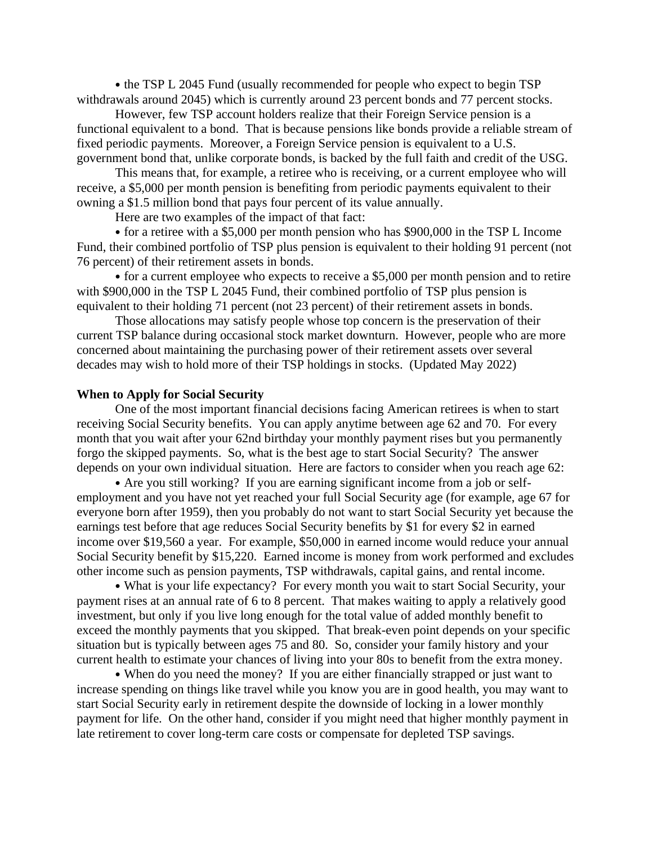• the TSP L 2045 Fund (usually recommended for people who expect to begin TSP withdrawals around 2045) which is currently around 23 percent bonds and 77 percent stocks.

However, few TSP account holders realize that their Foreign Service pension is a functional equivalent to a bond. That is because pensions like bonds provide a reliable stream of fixed periodic payments. Moreover, a Foreign Service pension is equivalent to a U.S. government bond that, unlike corporate bonds, is backed by the full faith and credit of the USG.

This means that, for example, a retiree who is receiving, or a current employee who will receive, a \$5,000 per month pension is benefiting from periodic payments equivalent to their owning a \$1.5 million bond that pays four percent of its value annually.

Here are two examples of the impact of that fact:

• for a retiree with a \$5,000 per month pension who has \$900,000 in the TSP L Income Fund, their combined portfolio of TSP plus pension is equivalent to their holding 91 percent (not 76 percent) of their retirement assets in bonds.

• for a current employee who expects to receive a \$5,000 per month pension and to retire with \$900,000 in the TSP L 2045 Fund, their combined portfolio of TSP plus pension is equivalent to their holding 71 percent (not 23 percent) of their retirement assets in bonds.

Those allocations may satisfy people whose top concern is the preservation of their current TSP balance during occasional stock market downturn. However, people who are more concerned about maintaining the purchasing power of their retirement assets over several decades may wish to hold more of their TSP holdings in stocks. (Updated May 2022)

# **When to Apply for Social Security**

One of the most important financial decisions facing American retirees is when to start receiving Social Security benefits. You can apply anytime between age 62 and 70. For every month that you wait after your 62nd birthday your monthly payment rises but you permanently forgo the skipped payments. So, what is the best age to start Social Security? The answer depends on your own individual situation. Here are factors to consider when you reach age 62:

• Are you still working? If you are earning significant income from a job or selfemployment and you have not yet reached your full Social Security age (for example, age 67 for everyone born after 1959), then you probably do not want to start Social Security yet because the earnings test before that age reduces Social Security benefits by \$1 for every \$2 in earned income over \$19,560 a year. For example, \$50,000 in earned income would reduce your annual Social Security benefit by \$15,220. Earned income is money from work performed and excludes other income such as pension payments, TSP withdrawals, capital gains, and rental income.

• What is your life expectancy? For every month you wait to start Social Security, your payment rises at an annual rate of 6 to 8 percent. That makes waiting to apply a relatively good investment, but only if you live long enough for the total value of added monthly benefit to exceed the monthly payments that you skipped. That break-even point depends on your specific situation but is typically between ages 75 and 80. So, consider your family history and your current health to estimate your chances of living into your 80s to benefit from the extra money.

• When do you need the money? If you are either financially strapped or just want to increase spending on things like travel while you know you are in good health, you may want to start Social Security early in retirement despite the downside of locking in a lower monthly payment for life. On the other hand, consider if you might need that higher monthly payment in late retirement to cover long-term care costs or compensate for depleted TSP savings.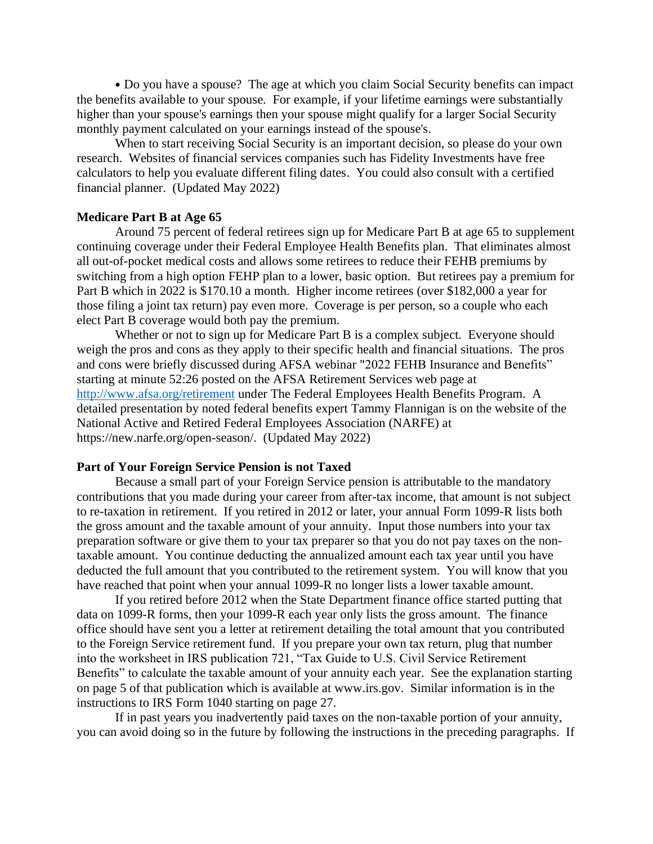• Do you have a spouse? The age at which you claim Social Security benefits can impact the benefits available to your spouse. For example, if your lifetime earnings were substantially higher than your spouse's earnings then your spouse might qualify for a larger Social Security monthly payment calculated on your earnings instead of the spouse's.

When to start receiving Social Security is an important decision, so please do your own research. Websites of financial services companies such has Fidelity Investments have free calculators to help you evaluate different filing dates. You could also consult with a certified financial planner. (Updated May 2022)

#### **Medicare Part B at Age 65**

Around 75 percent of federal retirees sign up for Medicare Part B at age 65 to supplement continuing coverage under their Federal Employee Health Benefits plan. That eliminates almost all out-of-pocket medical costs and allows some retirees to reduce their FEHB premiums by switching from a high option FEHP plan to a lower, basic option. But retirees pay a premium for Part B which in 2022 is \$170.10 a month. Higher income retirees (over \$182,000 a year for those filing a joint tax return) pay even more. Coverage is per person, so a couple who each elect Part B coverage would both pay the premium.

Whether or not to sign up for Medicare Part B is a complex subject. Everyone should weigh the pros and cons as they apply to their specific health and financial situations. The pros and cons were briefly discussed during AFSA webinar "2022 FEHB Insurance and Benefits" starting at minute 52:26 posted on the AFSA Retirement Services web page at <http://www.afsa.org/retirement> under The Federal Employees Health Benefits Program. A detailed presentation by noted federal benefits expert Tammy Flannigan is on the website of the National Active and Retired Federal Employees Association (NARFE) at https://new.narfe.org/open-season/. (Updated May 2022)

#### **Part of Your Foreign Service Pension is not Taxed**

Because a small part of your Foreign Service pension is attributable to the mandatory contributions that you made during your career from after-tax income, that amount is not subject to re-taxation in retirement. If you retired in 2012 or later, your annual Form 1099-R lists both the gross amount and the taxable amount of your annuity. Input those numbers into your tax preparation software or give them to your tax preparer so that you do not pay taxes on the nontaxable amount. You continue deducting the annualized amount each tax year until you have deducted the full amount that you contributed to the retirement system. You will know that you have reached that point when your annual 1099-R no longer lists a lower taxable amount.

If you retired before 2012 when the State Department finance office started putting that data on 1099-R forms, then your 1099-R each year only lists the gross amount. The finance office should have sent you a letter at retirement detailing the total amount that you contributed to the Foreign Service retirement fund. If you prepare your own tax return, plug that number into the worksheet in IRS publication 721, "Tax Guide to U.S. Civil Service Retirement Benefits" to calculate the taxable amount of your annuity each year. See the explanation starting on page 5 of that publication which is available at www.irs.gov. Similar information is in the instructions to IRS Form 1040 starting on page 27.

If in past years you inadvertently paid taxes on the non-taxable portion of your annuity, you can avoid doing so in the future by following the instructions in the preceding paragraphs. If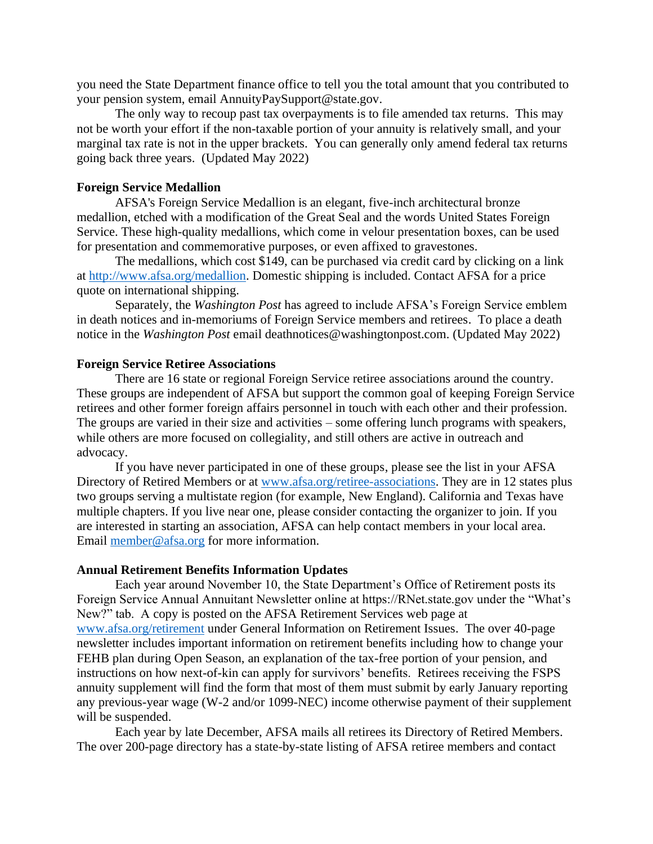you need the State Department finance office to tell you the total amount that you contributed to your pension system, email AnnuityPaySupport@state.gov.

The only way to recoup past tax overpayments is to file amended tax returns. This may not be worth your effort if the non-taxable portion of your annuity is relatively small, and your marginal tax rate is not in the upper brackets. You can generally only amend federal tax returns going back three years. (Updated May 2022)

# **Foreign Service Medallion**

AFSA's Foreign Service Medallion is an elegant, five-inch architectural bronze medallion, etched with a modification of the Great Seal and the words United States Foreign Service. These high-quality medallions, which come in velour presentation boxes, can be used for presentation and commemorative purposes, or even affixed to gravestones.

The medallions, which cost \$149, can be purchased via credit card by clicking on a link at [http://www.afsa.org/medallion.](http://www.afsa.org/medallion) Domestic shipping is included. Contact AFSA for a price quote on international shipping.

Separately, the *Washington Post* has agreed to include AFSA's Foreign Service emblem in death notices and in-memoriums of Foreign Service members and retirees. To place a death notice in the *Washington Post* email deathnotices@washingtonpost.com. (Updated May 2022)

#### **Foreign Service Retiree Associations**

There are 16 state or regional Foreign Service retiree associations around the country. These groups are independent of AFSA but support the common goal of keeping Foreign Service retirees and other former foreign affairs personnel in touch with each other and their profession. The groups are varied in their size and activities – some offering lunch programs with speakers, while others are more focused on collegiality, and still others are active in outreach and advocacy.

If you have never participated in one of these groups, please see the list in your AFSA Directory of Retired Members or at [www.afsa.org/retiree-associations.](http://www.afsa.org/retiree-associations) They are in 12 states plus two groups serving a multistate region (for example, New England). California and Texas have multiple chapters. If you live near one, please consider contacting the organizer to join. If you are interested in starting an association, AFSA can help contact members in your local area. Email [member@afsa.org](mailto:member@afsa.org) for more information.

#### **Annual Retirement Benefits Information Updates**

Each year around November 10, the State Department's Office of Retirement posts its Foreign Service Annual Annuitant Newsletter online at https://RNet.state.gov under the "What's New?" tab. A copy is posted on the AFSA Retirement Services web page at [www.afsa.org/retirement](http://www.afsa.org/retirement) under General Information on Retirement Issues. The over 40-page newsletter includes important information on retirement benefits including how to change your FEHB plan during Open Season, an explanation of the tax-free portion of your pension, and instructions on how next-of-kin can apply for survivors' benefits. Retirees receiving the FSPS annuity supplement will find the form that most of them must submit by early January reporting any previous-year wage (W-2 and/or 1099-NEC) income otherwise payment of their supplement will be suspended.

Each year by late December, AFSA mails all retirees its Directory of Retired Members. The over 200-page directory has a state-by-state listing of AFSA retiree members and contact